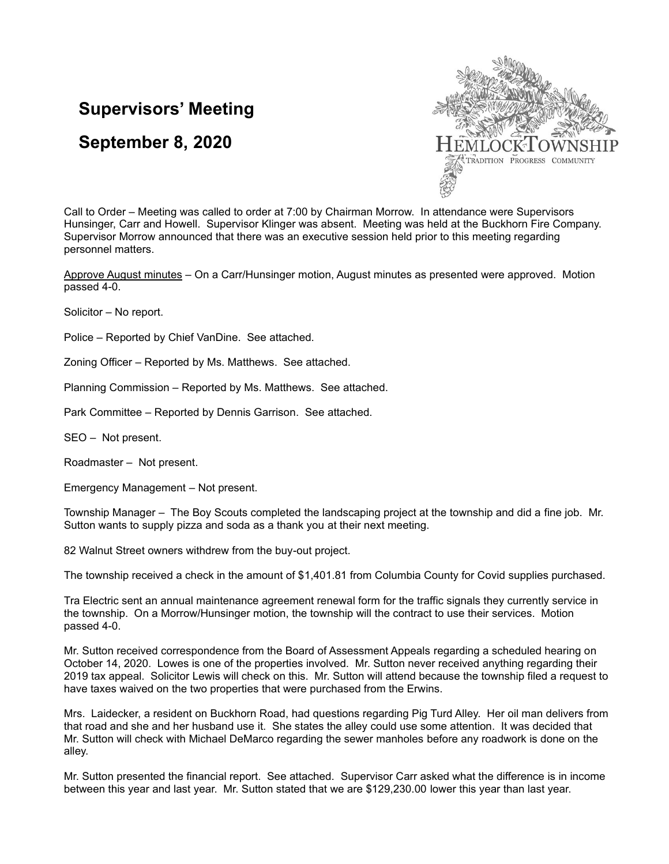## **Supervisors' Meeting**

## **September 8, 2020**



Call to Order – Meeting was called to order at 7:00 by Chairman Morrow. In attendance were Supervisors Hunsinger, Carr and Howell. Supervisor Klinger was absent. Meeting was held at the Buckhorn Fire Company. Supervisor Morrow announced that there was an executive session held prior to this meeting regarding personnel matters.

Approve August minutes – On a Carr/Hunsinger motion, August minutes as presented were approved. Motion passed 4-0.

Solicitor – No report.

Police – Reported by Chief VanDine. See attached.

Zoning Officer – Reported by Ms. Matthews. See attached.

Planning Commission – Reported by Ms. Matthews. See attached.

Park Committee – Reported by Dennis Garrison. See attached.

SEO – Not present.

Roadmaster – Not present.

Emergency Management – Not present.

Township Manager – The Boy Scouts completed the landscaping project at the township and did a fine job. Mr. Sutton wants to supply pizza and soda as a thank you at their next meeting.

82 Walnut Street owners withdrew from the buy-out project.

The township received a check in the amount of \$1,401.81 from Columbia County for Covid supplies purchased.

Tra Electric sent an annual maintenance agreement renewal form for the traffic signals they currently service in the township. On a Morrow/Hunsinger motion, the township will the contract to use their services. Motion passed 4-0.

Mr. Sutton received correspondence from the Board of Assessment Appeals regarding a scheduled hearing on October 14, 2020. Lowes is one of the properties involved. Mr. Sutton never received anything regarding their 2019 tax appeal. Solicitor Lewis will check on this. Mr. Sutton will attend because the township filed a request to have taxes waived on the two properties that were purchased from the Erwins.

Mrs. Laidecker, a resident on Buckhorn Road, had questions regarding Pig Turd Alley. Her oil man delivers from that road and she and her husband use it. She states the alley could use some attention. It was decided that Mr. Sutton will check with Michael DeMarco regarding the sewer manholes before any roadwork is done on the alley.

Mr. Sutton presented the financial report. See attached. Supervisor Carr asked what the difference is in income between this year and last year. Mr. Sutton stated that we are \$129,230.00 lower this year than last year.